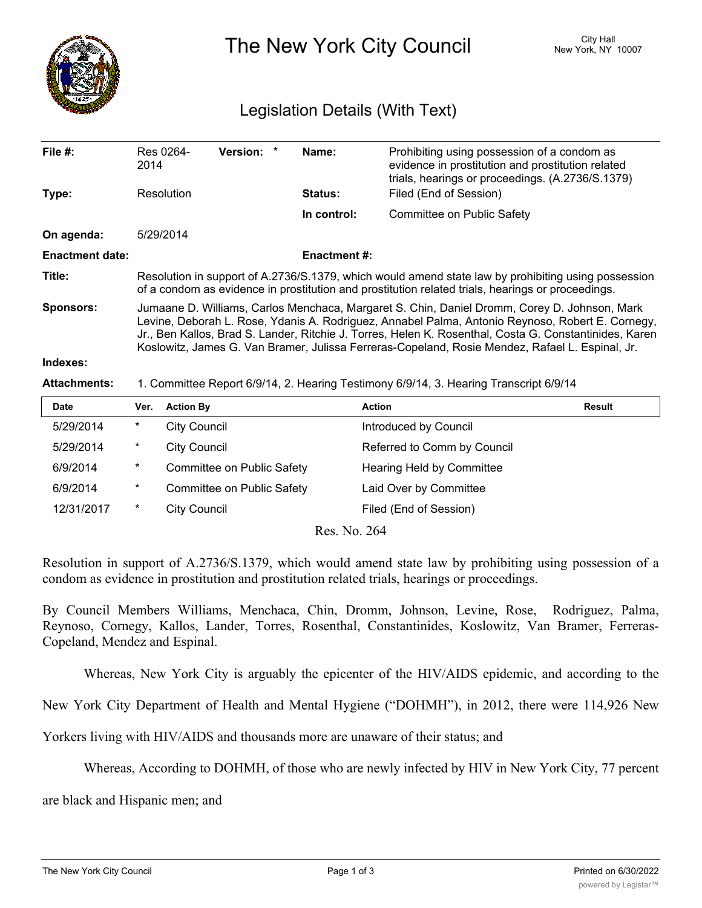

The New York City Council New York, NY 10007

## Legislation Details (With Text)

| File #:                | 2014                                                                                                                                                                                                                                                                                                                                                                                                          | Res 0264-           | <b>Version:</b><br>$\star$ | Name:               | Prohibiting using possession of a condom as<br>evidence in prostitution and prostitution related<br>trials, hearings or proceedings. (A.2736/S.1379) |               |
|------------------------|---------------------------------------------------------------------------------------------------------------------------------------------------------------------------------------------------------------------------------------------------------------------------------------------------------------------------------------------------------------------------------------------------------------|---------------------|----------------------------|---------------------|------------------------------------------------------------------------------------------------------------------------------------------------------|---------------|
| Type:                  | Resolution                                                                                                                                                                                                                                                                                                                                                                                                    |                     |                            | <b>Status:</b>      | Filed (End of Session)                                                                                                                               |               |
|                        |                                                                                                                                                                                                                                                                                                                                                                                                               |                     |                            | In control:         | Committee on Public Safety                                                                                                                           |               |
| On agenda:             |                                                                                                                                                                                                                                                                                                                                                                                                               | 5/29/2014           |                            |                     |                                                                                                                                                      |               |
| <b>Enactment date:</b> |                                                                                                                                                                                                                                                                                                                                                                                                               |                     |                            | <b>Enactment #:</b> |                                                                                                                                                      |               |
| Title:                 | Resolution in support of A.2736/S.1379, which would amend state law by prohibiting using possession<br>of a condom as evidence in prostitution and prostitution related trials, hearings or proceedings.                                                                                                                                                                                                      |                     |                            |                     |                                                                                                                                                      |               |
| <b>Sponsors:</b>       | Jumaane D. Williams, Carlos Menchaca, Margaret S. Chin, Daniel Dromm, Corey D. Johnson, Mark<br>Levine, Deborah L. Rose, Ydanis A. Rodriguez, Annabel Palma, Antonio Reynoso, Robert E. Cornegy,<br>Jr., Ben Kallos, Brad S. Lander, Ritchie J. Torres, Helen K. Rosenthal, Costa G. Constantinides, Karen<br>Koslowitz, James G. Van Bramer, Julissa Ferreras-Copeland, Rosie Mendez, Rafael L. Espinal, Jr. |                     |                            |                     |                                                                                                                                                      |               |
| Indexes:               |                                                                                                                                                                                                                                                                                                                                                                                                               |                     |                            |                     |                                                                                                                                                      |               |
| <b>Attachments:</b>    | 1. Committee Report 6/9/14, 2. Hearing Testimony 6/9/14, 3. Hearing Transcript 6/9/14                                                                                                                                                                                                                                                                                                                         |                     |                            |                     |                                                                                                                                                      |               |
| Date                   | Ver.                                                                                                                                                                                                                                                                                                                                                                                                          | <b>Action By</b>    |                            |                     | <b>Action</b>                                                                                                                                        | <b>Result</b> |
| 5/29/2014              | $^\star$                                                                                                                                                                                                                                                                                                                                                                                                      | <b>City Council</b> |                            |                     | Introduced by Council                                                                                                                                |               |
| 5/29/2014              | $^\star$                                                                                                                                                                                                                                                                                                                                                                                                      | <b>City Council</b> |                            |                     | Referred to Comm by Council                                                                                                                          |               |
| 6/9/2014               | $^\star$                                                                                                                                                                                                                                                                                                                                                                                                      |                     | Committee on Public Safety |                     | Hearing Held by Committee                                                                                                                            |               |
| 6/9/2014               | *                                                                                                                                                                                                                                                                                                                                                                                                             |                     | Committee on Public Safety |                     | Laid Over by Committee                                                                                                                               |               |

Res. No. 264

Resolution in support of A.2736/S.1379, which would amend state law by prohibiting using possession of a condom as evidence in prostitution and prostitution related trials, hearings or proceedings.

By Council Members Williams, Menchaca, Chin, Dromm, Johnson, Levine, Rose, Rodriguez, Palma, Reynoso, Cornegy, Kallos, Lander, Torres, Rosenthal, Constantinides, Koslowitz, Van Bramer, Ferreras-Copeland, Mendez and Espinal.

Whereas, New York City is arguably the epicenter of the HIV/AIDS epidemic, and according to the

New York City Department of Health and Mental Hygiene ("DOHMH"), in 2012, there were 114,926 New

Yorkers living with HIV/AIDS and thousands more are unaware of their status; and

12/31/2017 \* City Council Council Filed (End of Session)

Whereas, According to DOHMH, of those who are newly infected by HIV in New York City, 77 percent

are black and Hispanic men; and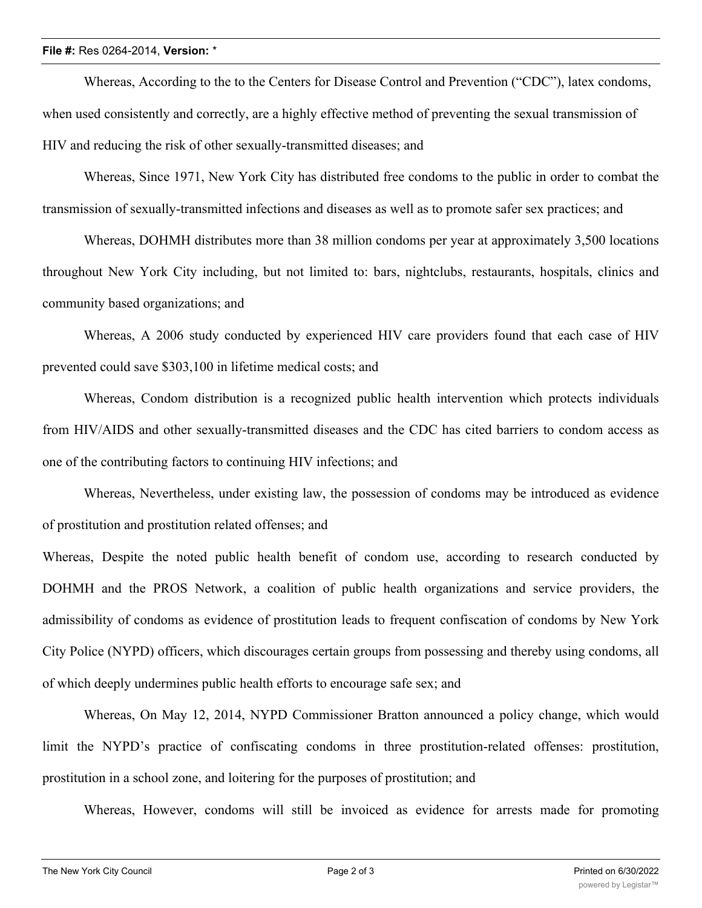## **File #:** Res 0264-2014, **Version:** \*

Whereas, According to the to the Centers for Disease Control and Prevention ("CDC"), latex condoms, when used consistently and correctly, are a highly effective method of preventing the sexual transmission of HIV and reducing the risk of other sexually-transmitted diseases; and

Whereas, Since 1971, New York City has distributed free condoms to the public in order to combat the transmission of sexually-transmitted infections and diseases as well as to promote safer sex practices; and

Whereas, DOHMH distributes more than 38 million condoms per year at approximately 3,500 locations throughout New York City including, but not limited to: bars, nightclubs, restaurants, hospitals, clinics and community based organizations; and

Whereas, A 2006 study conducted by experienced HIV care providers found that each case of HIV prevented could save \$303,100 in lifetime medical costs; and

Whereas, Condom distribution is a recognized public health intervention which protects individuals from HIV/AIDS and other sexually-transmitted diseases and the CDC has cited barriers to condom access as one of the contributing factors to continuing HIV infections; and

Whereas, Nevertheless, under existing law, the possession of condoms may be introduced as evidence of prostitution and prostitution related offenses; and

Whereas, Despite the noted public health benefit of condom use, according to research conducted by DOHMH and the PROS Network, a coalition of public health organizations and service providers, the admissibility of condoms as evidence of prostitution leads to frequent confiscation of condoms by New York City Police (NYPD) officers, which discourages certain groups from possessing and thereby using condoms, all of which deeply undermines public health efforts to encourage safe sex; and

Whereas, On May 12, 2014, NYPD Commissioner Bratton announced a policy change, which would limit the NYPD's practice of confiscating condoms in three prostitution-related offenses: prostitution, prostitution in a school zone, and loitering for the purposes of prostitution; and

Whereas, However, condoms will still be invoiced as evidence for arrests made for promoting